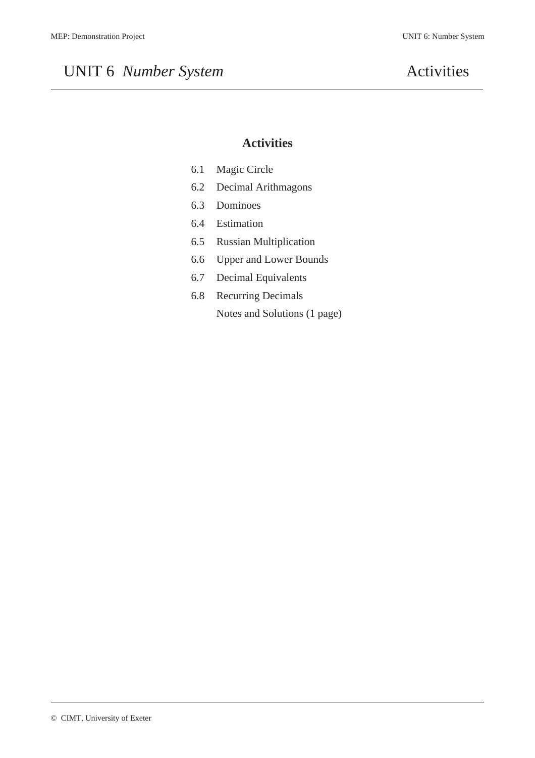## UNIT 6 *Number System* Activities

## **Activities**

| 6.1 | Magic Circle |  |
|-----|--------------|--|
|-----|--------------|--|

- 6.2 Decimal Arithmagons
- 6.3 Dominoes
- 6.4 Estimation
- 6.5 Russian Multiplication
- 6.6 Upper and Lower Bounds
- 6.7 Decimal Equivalents
- 6.8 Recurring Decimals Notes and Solutions (1 page)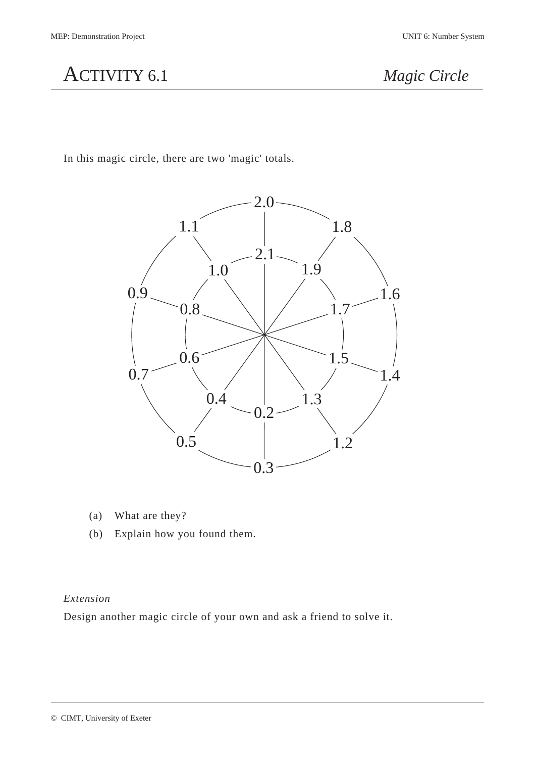

In this magic circle, there are two 'magic' totals.



- (a) What are they?
- (b) Explain how you found them.

## *Extension*

Design another magic circle of your own and ask a friend to solve it.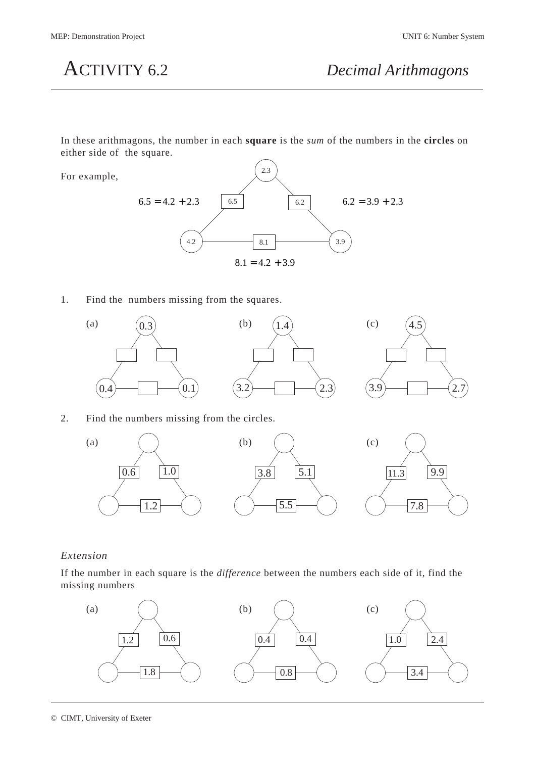In these arithmagons, the number in each **square** is the *sum* of the numbers in the **circles** on either side of the square.

For example,



1. Find the numbers missing from the squares.



## 2. Find the numbers missing from the circles.



## *Extension*

If the number in each square is the *difference* between the numbers each side of it, find the missing numbers

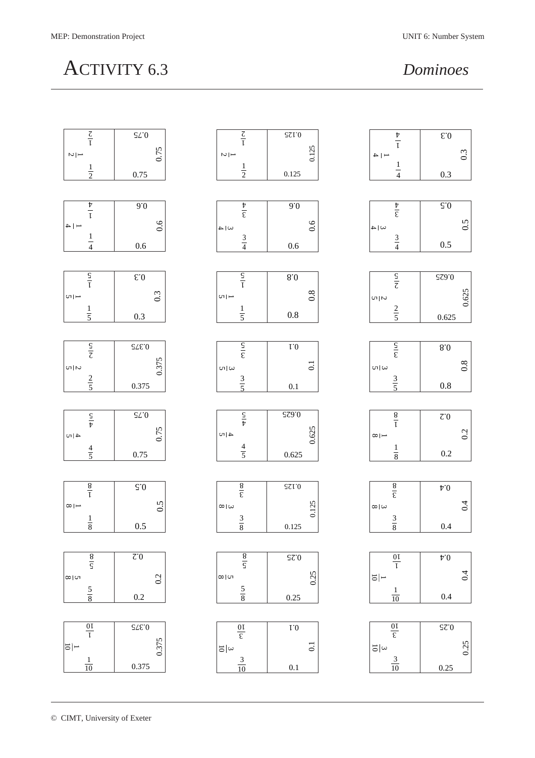# ACTIVITY 6.3 *Dominoes*

| $\frac{\zeta}{I}$       | $\mathcal{L}0$                    | $\frac{Z}{I}$          | $\mathsf{S}\mathsf{S}\mathsf{I}\mathsf{I}\mathsf{I}\mathsf{O}$ | $\frac{t}{l}$                   | $\mathbf{E}.\mathbf{0}$                              |
|-------------------------|-----------------------------------|------------------------|----------------------------------------------------------------|---------------------------------|------------------------------------------------------|
|                         |                                   |                        |                                                                |                                 |                                                      |
| $\frac{1}{\sqrt{2}}$    | 0.75                              | $\frac{1}{\sqrt{2}}$   | 0.125                                                          | $- 4$                           | 0.3                                                  |
|                         |                                   |                        |                                                                |                                 |                                                      |
| $\frac{1}{2}$           | 0.75                              | $\frac{1}{2}$          | 0.125                                                          | $\frac{1}{4}$                   | 0.3                                                  |
|                         |                                   |                        |                                                                |                                 |                                                      |
|                         |                                   |                        |                                                                |                                 |                                                      |
|                         |                                   |                        |                                                                |                                 |                                                      |
| $\frac{\nu}{l}$         | 0.6                               | $\frac{\nu}{\epsilon}$ | 0.0                                                            | $\frac{1}{\epsilon}$            | $\overline{S}$ .0                                    |
|                         |                                   |                        |                                                                |                                 |                                                      |
| $-$   $\rightarrow$     | 0.6                               | $\omega$  4            | 0.6                                                            | $\omega$  4                     | 0.5                                                  |
| $\mathbf{1}$            |                                   |                        |                                                                |                                 |                                                      |
| $\frac{1}{4}$           | 0.6                               | $rac{3}{4}$            | $0.6\,$                                                        | $rac{3}{4}$                     | 0.5                                                  |
|                         |                                   |                        |                                                                |                                 |                                                      |
|                         |                                   |                        |                                                                |                                 |                                                      |
|                         |                                   |                        |                                                                |                                 |                                                      |
| $rac{S}{I}$             | $\epsilon.0$                      | $rac{S}{I}$            | $8.0\,$                                                        | $\frac{\mathsf{S}}{\mathsf{Z}}$ | $\mathsf{S}\mathsf{S}\mathsf{S}\mathsf{S}\mathsf{O}$ |
|                         |                                   |                        |                                                                |                                 |                                                      |
| $\frac{1}{2}$           | 0.3                               | $\frac{1}{2}$          | $0.\overline{8}$                                               | $\frac{1}{2}$                   |                                                      |
|                         |                                   |                        |                                                                |                                 | 0.625                                                |
| $\frac{1}{5}$           | 0.3                               | $\frac{1}{5}$          | $0.8\,$                                                        | $rac{2}{5}$                     | 0.625                                                |
|                         |                                   |                        |                                                                |                                 |                                                      |
|                         |                                   |                        |                                                                |                                 |                                                      |
|                         |                                   |                        |                                                                |                                 |                                                      |
| $\frac{S}{\zeta}$       | $\mathsf{SLE}$ 0                  | $rac{S}{\epsilon}$     | $\rm I.0$                                                      | $rac{S}{\epsilon}$              | $8.0\,$                                              |
|                         |                                   |                        |                                                                |                                 |                                                      |
| $\frac{1}{2}$           | 0.375                             | $\omega$   $\omega$    | $\overline{0}$                                                 | $\omega \omega$                 | 0.8                                                  |
|                         |                                   |                        |                                                                |                                 |                                                      |
| $rac{2}{5}$             | 0.375                             | $rac{3}{5}$            | $0.1\,$                                                        | $rac{3}{5}$                     | $0.8\,$                                              |
|                         |                                   |                        |                                                                |                                 |                                                      |
|                         |                                   |                        |                                                                |                                 |                                                      |
|                         |                                   |                        |                                                                |                                 |                                                      |
| $rac{S}{\nu}$           | $\mathsf{S}\mathsf{L}\mathsf{I}0$ | $rac{S}{\hbar}$        | $\mathsf{S}\mathsf{Z}\mathsf{O}\mathsf{C}\mathsf{O}$           | $\frac{8}{l}$                   | $\mbox{C}^{\cdot}\mbox{O}$                           |
|                         |                                   |                        |                                                                |                                 |                                                      |
| $4\,$ $\sim$            | 0.75                              | 4 N                    | 0.625                                                          | $\infty$ $\mapsto$              | 0.2                                                  |
|                         |                                   |                        |                                                                |                                 |                                                      |
| $\frac{4}{5}$           | 0.75                              | $\frac{4}{5}$          | 0.625                                                          | $\frac{1}{8}$                   | $0.2\,$                                              |
|                         |                                   |                        |                                                                |                                 |                                                      |
|                         |                                   |                        |                                                                |                                 |                                                      |
|                         |                                   |                        |                                                                |                                 |                                                      |
| $\frac{8}{l}$           | $\zeta.0$                         | $\frac{8}{5}$          | $\mathfrak{ST}0$                                               | $\frac{8}{5}$                   | $\text{{\sf h.0}}$                                   |
|                         |                                   |                        |                                                                |                                 |                                                      |
| $\infty$   $\leftarrow$ | 0.5                               | $\infty$   $\infty$    | 0.125                                                          | $\infty$   $\infty$             | 0.4                                                  |
|                         |                                   |                        |                                                                |                                 |                                                      |
| $\frac{1}{8}$           | $0.5\,$                           | $rac{3}{8}$            | $0.125\,$                                                      | $rac{3}{8}$                     | $0.4\,$                                              |
|                         |                                   |                        |                                                                |                                 |                                                      |
|                         |                                   |                        |                                                                |                                 |                                                      |
|                         | $\overline{z_0}$                  |                        | $\overline{\mathcal{Z}^0}$                                     |                                 | $\mathfrak{p}.0$                                     |
| $\frac{8}{\varsigma}$   |                                   | $\frac{8}{5}$          |                                                                | $\frac{0}{\sqrt{1}}$            |                                                      |
|                         |                                   |                        |                                                                |                                 |                                                      |
| $\frac{1}{\infty}$      | 0.2                               | $\sim\, \, \infty$     | 0.25                                                           | $\overline{\phantom{0}}$        | 0.4                                                  |
|                         |                                   |                        |                                                                |                                 |                                                      |
| $rac{5}{8}$             | $0.2\,$                           | $rac{5}{8}$            | 0.25                                                           | $\frac{1}{10}$                  | 0.4                                                  |
|                         |                                   |                        |                                                                |                                 |                                                      |
|                         |                                   |                        |                                                                |                                 |                                                      |
|                         | $\mathsf{SLE}$ 0                  |                        | $\rm 1.0$                                                      |                                 | $\mathsf{S}\mathsf{C}$ 0                             |
| $\frac{0}{1}$           |                                   | $\frac{0}{\epsilon}$   |                                                                | $\frac{0}{\epsilon}$            |                                                      |
|                         |                                   |                        |                                                                |                                 |                                                      |
| $ \Xi $ -               | 0.375                             | $\frac{2}{10}$         | $\overline{0}$ .                                               | $\frac{3}{10}$                  | 0.25                                                 |
| $\frac{1}{10}$          |                                   | $\frac{3}{10}$         |                                                                | $\frac{3}{10}$                  |                                                      |
|                         | 0.375                             |                        | $0.1\,$                                                        |                                 | 0.25                                                 |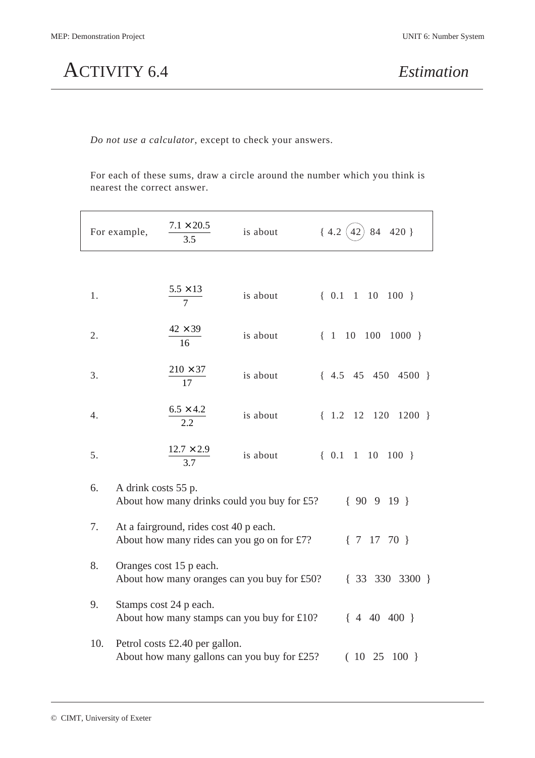ACTIVITY 6.4 *Estimation*

*Do not use a calculator*, except to check your answers.

For each of these sums, draw a circle around the number which you think is nearest the correct answer.

|     | For example,                                                                                            | $7.1 \times 20.5$<br>3.5       | is about                                    | ${4.2}$<br>84 420 }<br>42                                 |  |  |
|-----|---------------------------------------------------------------------------------------------------------|--------------------------------|---------------------------------------------|-----------------------------------------------------------|--|--|
|     |                                                                                                         |                                |                                             |                                                           |  |  |
| 1.  |                                                                                                         | $\frac{5.5 \times 13}{7}$      | is about                                    | $\{0.1\}$ 1<br>10<br>$100$ }                              |  |  |
| 2.  |                                                                                                         | $42 \times 39$<br>16           | is about                                    | 10<br>$100$ $1000$ }<br>$\begin{bmatrix} 1 \end{bmatrix}$ |  |  |
| 3.  |                                                                                                         | $210 \times 37$<br>17          | is about                                    | $\{4.5, 45, 450, 4500\}$                                  |  |  |
| 4.  |                                                                                                         | $\frac{6.5 \times 4.2}{2.2}$   | is about                                    | $\{1.2\}12$<br>$120 \quad 1200$ }                         |  |  |
| 5.  |                                                                                                         | $\frac{12.7 \times 2.9}{3.7}$  | is about                                    | $\{0.1$<br>$\mathbf{1}$<br>10<br>$100$ }                  |  |  |
| 6.  | A drink costs 55 p.                                                                                     |                                | About how many drinks could you buy for £5? | ${90919}$                                                 |  |  |
| 7.  | At a fairground, rides cost 40 p each.<br>About how many rides can you go on for £7?<br>$\{7\ 17\ 70\}$ |                                |                                             |                                                           |  |  |
| 8.  | Oranges cost 15 p each.<br>About how many oranges can you buy for £50?<br>$\{33\ 330\ 3300\}$           |                                |                                             |                                                           |  |  |
| 9.  |                                                                                                         | Stamps cost 24 p each.         | About how many stamps can you buy for £10?  | $\{4\ 40\ 400\}$                                          |  |  |
| 10. |                                                                                                         | Petrol costs £2.40 per gallon. | About how many gallons can you buy for £25? | (1025)<br>$100$ }                                         |  |  |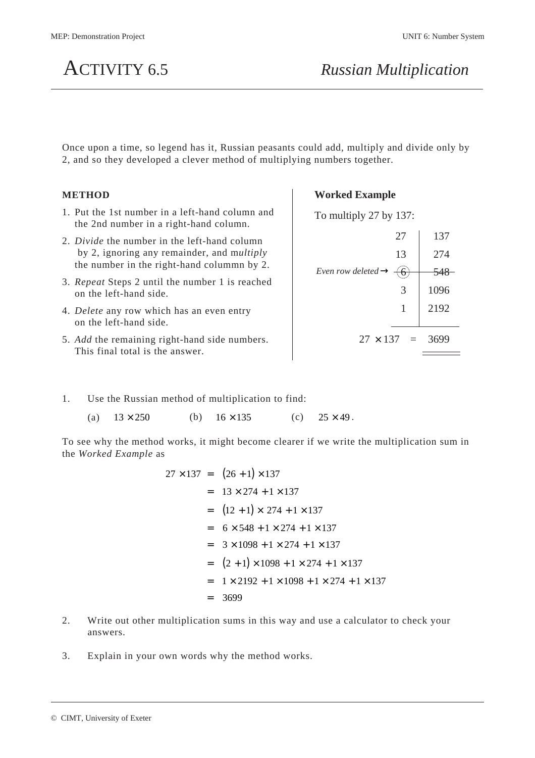

Once upon a time, so legend has it, Russian peasants could add, multiply and divide only by 2, and so they developed a clever method of multiplying numbers together.

## **METHOD**

- 1. Put the 1st number in a left-hand column and the 2nd number in a right-hand column.
- 2. *Divide* the number in the left-hand column by 2, ignoring any remainder, and m*ultiply* the number in the right-hand colummn by 2.
- 3. *Repeat* Steps 2 until the number 1 is reached on the left-hand side.
- 4. *Delete* any row which has an even entry on the left-hand side.
- 5. *Add* the remaining right-hand side numbers. This final total is the answer.

## **Worked Example**

To multiply 27 by 137:

|                                | 27         | 137  |
|--------------------------------|------------|------|
|                                | 13         | 274  |
| Even row deleted $\rightarrow$ |            | 548  |
|                                | 3          | 1096 |
|                                | 1          | 2192 |
| $27 \times 137$                | $\alpha =$ | 3699 |
|                                |            |      |

- 1. Use the Russian method of multiplication to find:
	- (a)  $13 \times 250$  (b)  $16 \times 135$  (c)  $25 \times 49$ .

To see why the method works, it might become clearer if we write the multiplication sum in the *Worked Example* as

$$
27 \times 137 = (26 + 1) \times 137
$$
  
= 13 × 274 + 1 × 137  
= (12 + 1) × 274 + 1 × 137  
= 6 × 548 + 1 × 274 + 1 × 137  
= 3 × 1098 + 1 × 274 + 1 × 137  
= (2 + 1) × 1098 + 1 × 274 + 1 × 137  
= 1 × 2192 + 1 × 1098 + 1 × 274 + 1 × 137  
= 3699

- 2. Write out other multiplication sums in this way and use a calculator to check your answers.
- 3. Explain in your own words why the method works.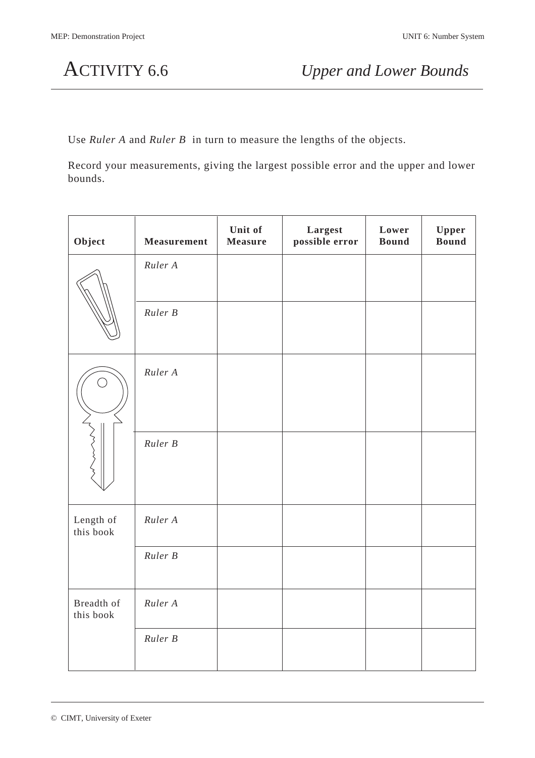Use *Ruler A* and *Ruler B* in turn to measure the lengths of the objects.

Record your measurements, giving the largest possible error and the upper and lower bounds.

| Object                  | <b>Measurement</b> | Unit of<br><b>Measure</b> | Largest<br>possible error | Lower<br><b>Bound</b> | Upper<br><b>Bound</b> |
|-------------------------|--------------------|---------------------------|---------------------------|-----------------------|-----------------------|
|                         | Ruler A            |                           |                           |                       |                       |
|                         | Ruler B            |                           |                           |                       |                       |
| $\mathbb{R}^n$          | Ruler A            |                           |                           |                       |                       |
|                         | Ruler B            |                           |                           |                       |                       |
| Length of<br>this book  | Ruler A            |                           |                           |                       |                       |
|                         | Ruler B            |                           |                           |                       |                       |
| Breadth of<br>this book | Ruler A            |                           |                           |                       |                       |
|                         | Ruler B            |                           |                           |                       |                       |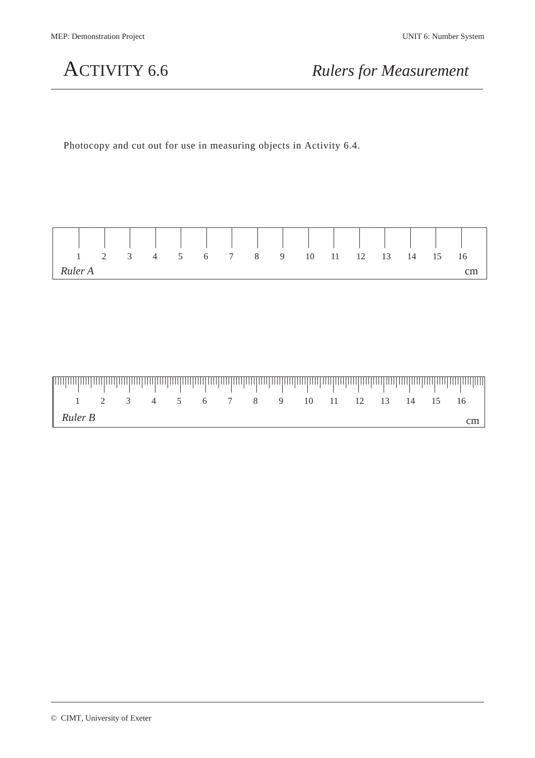ACTIVITY 6.6 *Rulers for Measurement*

Photocopy and cut out for use in measuring objects in Activity 6.4.

| $1 \t 2 \t 3 \t 4 \t 5 \t 6 \t 7 \t 8 \t 9 \t 10 \t 11 \t 12 \t 13 \t 14 \t 15 \t 16$ |  |  |  |  |  |  |  |  |
|---------------------------------------------------------------------------------------|--|--|--|--|--|--|--|--|
| Ruler A                                                                               |  |  |  |  |  |  |  |  |

| <u>laataalaataalaataalaataalaataalaataalaataalaataalaataalaataalaataalaataalaataalaataalaataalaataalaataa</u> |  |                                        |  |  |  |  |  |  |
|---------------------------------------------------------------------------------------------------------------|--|----------------------------------------|--|--|--|--|--|--|
|                                                                                                               |  | 1 2 3 4 5 6 7 8 9 10 11 12 13 14 15 16 |  |  |  |  |  |  |
| Ruler B                                                                                                       |  |                                        |  |  |  |  |  |  |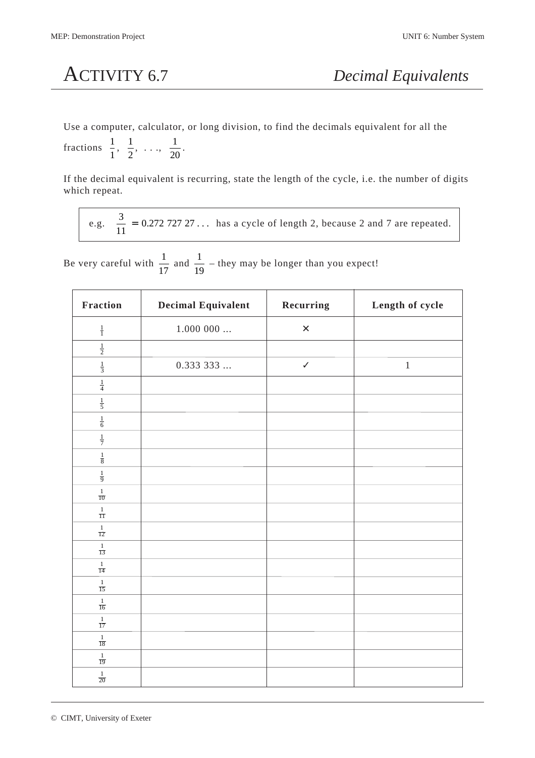Use a computer, calculator, or long division, to find the decimals equivalent for all the

fractions  $\frac{1}{1}$   $\frac{1}{2}$   $, \ldots, \frac{1}{20}.$ 

If the decimal equivalent is recurring, state the length of the cycle, i.e. the number of digits which repeat.

e.g. 
$$
\frac{3}{11} = 0.27272727...
$$
 has a cycle of length 2, because 2 and 7 are repeated.

Be very careful with  $\frac{1}{11}$  and  $\frac{1}{19}$  – they may be longer than you expect!

| <b>Fraction</b>                 | <b>Decimal Equivalent</b> | Recurring      | Length of cycle |
|---------------------------------|---------------------------|----------------|-----------------|
| $\frac{1}{1}$                   | $1.000$ 000 $\ldots$      | $\pmb{\times}$ |                 |
| $\frac{1}{2}$                   |                           |                |                 |
| $\frac{1}{3}$                   | 0.33333                   | $\checkmark$   | $\,1\,$         |
| $\frac{1}{4}$                   |                           |                |                 |
| $\frac{1}{5}$                   |                           |                |                 |
| $\frac{1}{6}$                   |                           |                |                 |
| $\frac{1}{7}$                   |                           |                |                 |
| $\frac{1}{8}$                   |                           |                |                 |
| $\frac{1}{9}$                   |                           |                |                 |
| $\frac{1}{10}$                  |                           |                |                 |
| $\frac{1}{11}$                  |                           |                |                 |
| $\frac{1}{12}$                  |                           |                |                 |
| $\frac{1}{13}$                  |                           |                |                 |
| $\frac{1}{14}$                  |                           |                |                 |
| $\frac{1}{15}$                  |                           |                |                 |
| $\frac{1}{16}$                  |                           |                |                 |
| $\frac{1}{17}$                  |                           |                |                 |
| $\frac{1}{18}$                  |                           |                |                 |
| $\mathbf{1}$<br>$\overline{19}$ |                           |                |                 |
| $\frac{1}{20}$                  |                           |                |                 |

© CIMT, University of Exeter